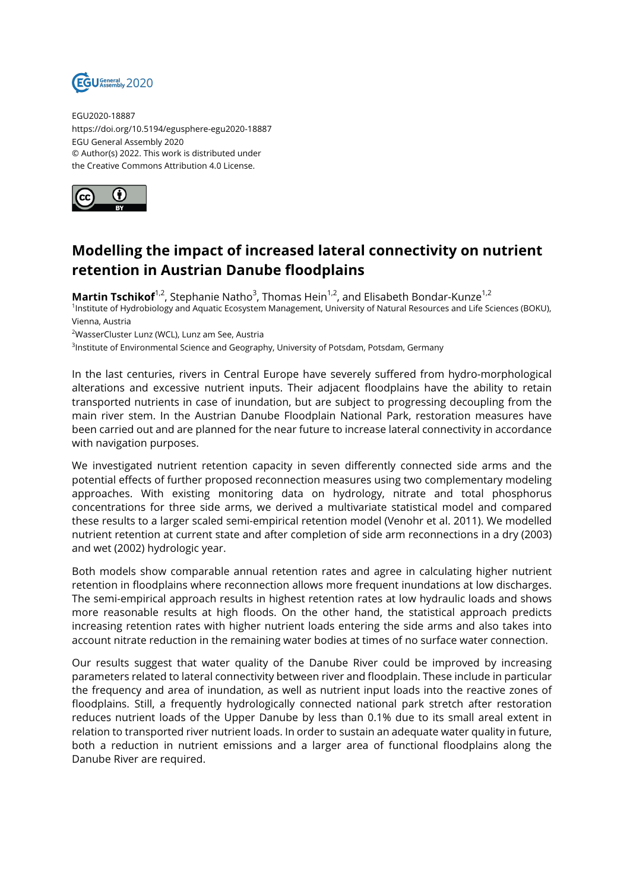

EGU2020-18887 https://doi.org/10.5194/egusphere-egu2020-18887 EGU General Assembly 2020 © Author(s) 2022. This work is distributed under the Creative Commons Attribution 4.0 License.



## **Modelling the impact of increased lateral connectivity on nutrient retention in Austrian Danube floodplains**

**Martin Tschikof**<sup>1,2</sup>, Stephanie Natho<sup>3</sup>, Thomas Hein<sup>1,2</sup>, and Elisabeth Bondar-Kunze<sup>1,2</sup> 1 Institute of Hydrobiology and Aquatic Ecosystem Management, University of Natural Resources and Life Sciences (BOKU), Vienna, Austria

<sup>2</sup>WasserCluster Lunz (WCL), Lunz am See, Austria

<sup>3</sup>lnstitute of Environmental Science and Geography, University of Potsdam, Potsdam, Germany

In the last centuries, rivers in Central Europe have severely suffered from hydro-morphological alterations and excessive nutrient inputs. Their adjacent floodplains have the ability to retain transported nutrients in case of inundation, but are subject to progressing decoupling from the main river stem. In the Austrian Danube Floodplain National Park, restoration measures have been carried out and are planned for the near future to increase lateral connectivity in accordance with navigation purposes.

We investigated nutrient retention capacity in seven differently connected side arms and the potential effects of further proposed reconnection measures using two complementary modeling approaches. With existing monitoring data on hydrology, nitrate and total phosphorus concentrations for three side arms, we derived a multivariate statistical model and compared these results to a larger scaled semi-empirical retention model (Venohr et al. 2011). We modelled nutrient retention at current state and after completion of side arm reconnections in a dry (2003) and wet (2002) hydrologic year.

Both models show comparable annual retention rates and agree in calculating higher nutrient retention in floodplains where reconnection allows more frequent inundations at low discharges. The semi-empirical approach results in highest retention rates at low hydraulic loads and shows more reasonable results at high floods. On the other hand, the statistical approach predicts increasing retention rates with higher nutrient loads entering the side arms and also takes into account nitrate reduction in the remaining water bodies at times of no surface water connection.

Our results suggest that water quality of the Danube River could be improved by increasing parameters related to lateral connectivity between river and floodplain. These include in particular the frequency and area of inundation, as well as nutrient input loads into the reactive zones of floodplains. Still, a frequently hydrologically connected national park stretch after restoration reduces nutrient loads of the Upper Danube by less than 0.1% due to its small areal extent in relation to transported river nutrient loads. In order to sustain an adequate water quality in future, both a reduction in nutrient emissions and a larger area of functional floodplains along the Danube River are required.